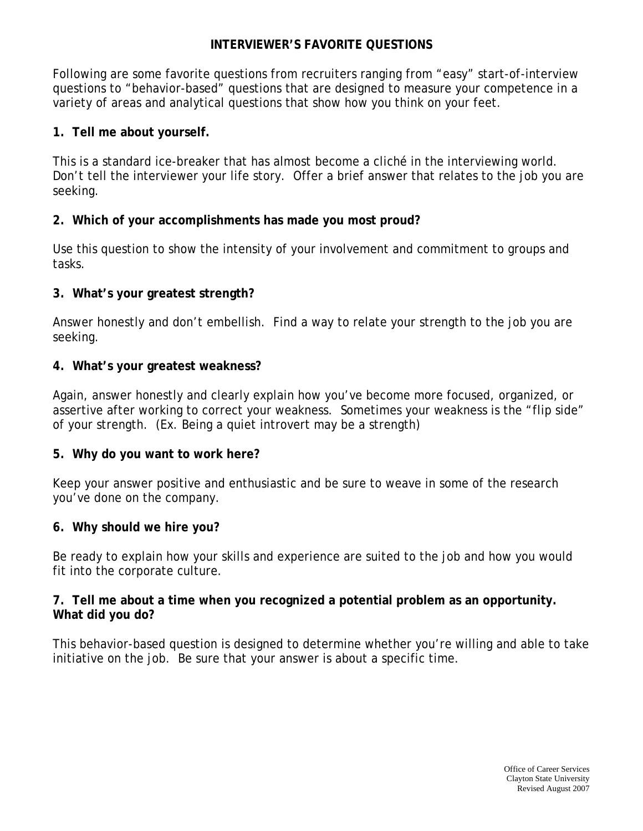## **INTERVIEWER'S FAVORITE QUESTIONS**

Following are some favorite questions from recruiters ranging from "easy" start-of-interview questions to "behavior-based" questions that are designed to measure your competence in a variety of areas and analytical questions that show how you think on your feet.

# **1. Tell me about yourself.**

This is a standard ice-breaker that has almost become a cliché in the interviewing world. Don't tell the interviewer your life story. Offer a brief answer that relates to the job you are seeking.

## **2. Which of your accomplishments has made you most proud?**

Use this question to show the intensity of your involvement and commitment to groups and tasks.

## **3. What's your greatest strength?**

Answer honestly and don't embellish. Find a way to relate your strength to the job you are seeking.

#### **4. What's your greatest weakness?**

Again, answer honestly and clearly explain how you've become more focused, organized, or assertive after working to correct your weakness. Sometimes your weakness is the "flip side" of your strength. (Ex. Being a quiet introvert may be a strength)

#### **5. Why do you want to work here?**

Keep your answer positive and enthusiastic and be sure to weave in some of the research you've done on the company.

#### **6. Why should we hire you?**

Be ready to explain how your skills and experience are suited to the job and how you would fit into the corporate culture.

## **7. Tell me about a time when you recognized a potential problem as an opportunity. What did you do?**

This behavior-based question is designed to determine whether you're willing and able to take initiative on the job. Be sure that your answer is about a specific time.